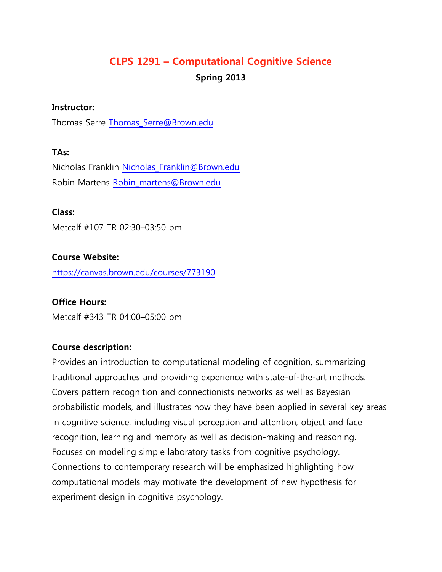# **CLPS 1291 – Computational Cognitive Science Spring 2013**

#### **Instructor:**

Thomas Serre [Thomas\\_Serre@Brown.edu](mailto:Thomas_Serre@Brown.edu)

#### **TAs:**

Nicholas Franklin [Nicholas\\_Franklin@Brown.edu](mailto:Nicholas_Franklin@Brown.edu) Robin Martens [Robin\\_martens@Brown.edu](mailto:Robin_martens@Brown.edu)

#### **Class:**

Metcalf #107 TR 02:30–03:50 pm

#### **Course Website:**

<https://canvas.brown.edu/courses/773190>

#### **Office Hours:**

Metcalf #343 TR 04:00–05:00 pm

#### **Course description:**

Provides an introduction to computational modeling of cognition, summarizing traditional approaches and providing experience with state-of-the-art methods. Covers pattern recognition and connectionists networks as well as Bayesian probabilistic models, and illustrates how they have been applied in several key areas in cognitive science, including visual perception and attention, object and face recognition, learning and memory as well as decision-making and reasoning. Focuses on modeling simple laboratory tasks from cognitive psychology. Connections to contemporary research will be emphasized highlighting how computational models may motivate the development of new hypothesis for experiment design in cognitive psychology.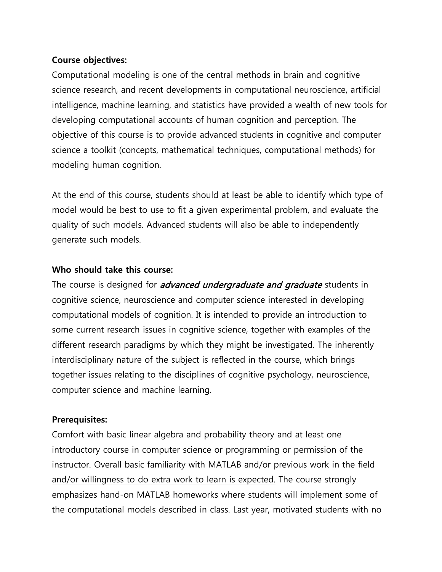#### **Course objectives:**

Computational modeling is one of the central methods in brain and cognitive science research, and recent developments in computational neuroscience, artificial intelligence, machine learning, and statistics have provided a wealth of new tools for developing computational accounts of human cognition and perception. The objective of this course is to provide advanced students in cognitive and computer science a toolkit (concepts, mathematical techniques, computational methods) for modeling human cognition.

At the end of this course, students should at least be able to identify which type of model would be best to use to fit a given experimental problem, and evaluate the quality of such models. Advanced students will also be able to independently generate such models.

#### **Who should take this course:**

The course is designed for *advanced undergraduate and graduate* students in cognitive science, neuroscience and computer science interested in developing computational models of cognition. It is intended to provide an introduction to some current research issues in cognitive science, together with examples of the different research paradigms by which they might be investigated. The inherently interdisciplinary nature of the subject is reflected in the course, which brings together issues relating to the disciplines of cognitive psychology, neuroscience, computer science and machine learning.

#### **Prerequisites:**

Comfort with basic linear algebra and probability theory and at least one introductory course in computer science or programming or permission of the instructor. Overall basic familiarity with MATLAB and/or previous work in the field and/or willingness to do extra work to learn is expected. The course strongly emphasizes hand-on MATLAB homeworks where students will implement some of the computational models described in class. Last year, motivated students with no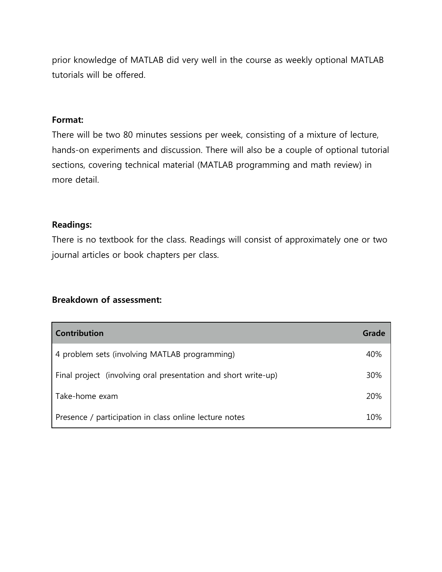prior knowledge of MATLAB did very well in the course as weekly optional MATLAB tutorials will be offered.

#### **Format:**

There will be two 80 minutes sessions per week, consisting of a mixture of lecture, hands-on experiments and discussion. There will also be a couple of optional tutorial sections, covering technical material (MATLAB programming and math review) in more detail.

### **Readings:**

There is no textbook for the class. Readings will consist of approximately one or two journal articles or book chapters per class.

#### **Breakdown of assessment:**

| <b>Contribution</b>                                            | Grade |
|----------------------------------------------------------------|-------|
| 4 problem sets (involving MATLAB programming)                  | 40%   |
| Final project (involving oral presentation and short write-up) | 30%   |
| Take-home exam                                                 | 20%   |
| Presence / participation in class online lecture notes         | 10%   |